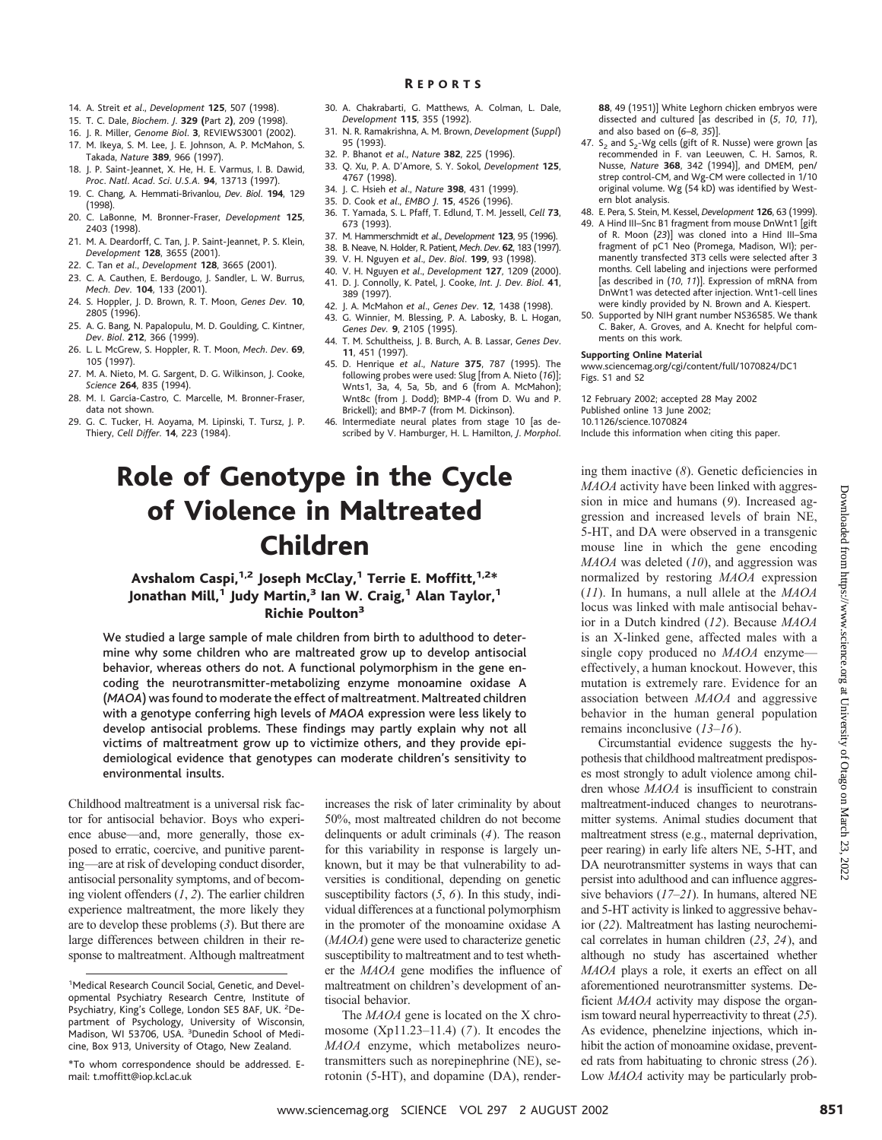- 14. A. Streit *et al*., *Development* **125**, 507 (1998).
- 15. T. C. Dale, *Biochem*. *J*. **329 (**Part 2**)**, 209 (1998).
- 16. J. R. Miller, *Genome Biol*. **3**, REVIEWS3001 (2002).
- 17. M. Ikeya, S. M. Lee, J. E. Johnson, A. P. McMahon, S. Takada, *Nature* **389**, 966 (1997).
- 18. J. P. Saint-Jeannet, X. He, H. E. Varmus, I. B. Dawid, *Proc*. *Natl*. *Acad*. *Sci*. *U.S.A.* **94**, 13713 (1997).
- 19. C. Chang, A. Hemmati-Brivanlou, *Dev*. *Biol*. **194**, 129 (1998).
- 20. C. LaBonne, M. Bronner-Fraser, *Development* **125**, 2403 (1998).
- 21. M. A. Deardorff, C. Tan, J. P. Saint-Jeannet, P. S. Klein, *Development* **128**, 3655 (2001).
- 22. C. Tan *et al*., *Development* **128**, 3665 (2001).
- 23. C. A. Cauthen, E. Berdougo, J. Sandler, L. W. Burrus, *Mech. Dev.* **104**, 133 (2001).
- 24. S. Hoppler, J. D. Brown, R. T. Moon, *Genes Dev.* **10**, 2805 (1996).
- 25. A. G. Bang, N. Papalopulu, M. D. Goulding, C. Kintner, *Dev*. *Biol*. **212**, 366 (1999).
- 26. L. L. McGrew, S. Hoppler, R. T. Moon, *Mech*. *Dev*. **69**, 105 (1997).
- 27. M. A. Nieto, M. G. Sargent, D. G. Wilkinson, J. Cooke, *Science* **264**, 835 (1994).
- 28. M. I. García-Castro, C. Marcelle, M. Bronner-Fraser, data not shown.
- 29. G. C. Tucker, H. Aoyama, M. Lipinski, T. Tursz, J. P. Thiery, *Cell Differ*. **14**, 223 (1984).
- R EPORTS
- 30. A. Chakrabarti, G. Matthews, A. Colman, L. Dale, *Development* **115**, 355 (1992).
- 31. N. R. Ramakrishna, A. M. Brown, *Development* (*Suppl*) 95 (1993).
- 32. P. Bhanot *et al*., *Nature* **382**, 225 (1996).
- 33. Q. Xu, P. A. D'Amore, S. Y. Sokol, *Development* **125**, 4767 (1998).
- 34. J. C. Hsieh *et al*., *Nature* **398**, 431 (1999).
- 35. D. Cook *et al*., *EMBO J*. **15**, 4526 (1996).
- 36. T. Yamada, S. L. Pfaff, T. Edlund, T. M. Jessell, *Cell* **73**, 673 (1993).
- 37. M. Hammerschmidt *et al*., *Development* **123**, 95 (1996).
- 38. B. Neave, N. Holder, R. Patient, *Mech*. *Dev*. **62**, 183 (1997).
- 39. V. H. Nguyen *et al*., *Dev*. *Biol*. **199**, 93 (1998).
- 40. V. H. Nguyen *et al*., *Development* **127**, 1209 (2000). 41. D. J. Connolly, K. Patel, J. Cooke, *Int. J. Dev. Biol.* **41**,
- 389 (1997). 42. J. A. McMahon *et al*., *Genes Dev*. **12**, 1438 (1998).
- 43. G. Winnier, M. Blessing, P. A. Labosky, B. L. Hogan, *Genes Dev.* **9**, 2105 (1995).
- 44. T. M. Schultheiss, J. B. Burch, A. B. Lassar, *Genes Dev*. **11**, 451 (1997).
- 45. D. Henrique *et al*., *Nature* **375**, 787 (1995). The following probes were used: Slug [from A. Nieto (*16*)]; Wnts1, 3a, 4, 5a, 5b, and 6 (from A. McMahon); Wnt8c (from J. Dodd); BMP-4 (from D. Wu and P. Brickell); and BMP-7 (from M. Dickinson).
- 46. Intermediate neural plates from stage 10 [as described by V. Hamburger, H. L. Hamilton, *J*. *Morphol*.

# Role of Genotype in the Cycle of Violence in Maltreated Children

## Avshalom Caspi,<sup>1,2</sup> Joseph McClay,<sup>1</sup> Terrie E. Moffitt,<sup>1,2\*</sup> Jonathan Mill,<sup>1</sup> Judy Martin,<sup>3</sup> Ian W. Craig,<sup>1</sup> Alan Taylor,<sup>1</sup> Richie Poulton3

We studied a large sample of male children from birth to adulthood to determine why some children who are maltreated grow up to develop antisocial behavior, whereas others do not. A functional polymorphism in the gene encoding the neurotransmitter-metabolizing enzyme monoamine oxidase A (*MAOA*) was found to moderate the effect of maltreatment. Maltreated children with a genotype conferring high levels of *MAOA* expression were less likely to develop antisocial problems. These findings may partly explain why not all victims of maltreatment grow up to victimize others, and they provide epidemiological evidence that genotypes can moderate children's sensitivity to environmental insults.

Childhood maltreatment is a universal risk factor for antisocial behavior. Boys who experience abuse—and, more generally, those exposed to erratic, coercive, and punitive parenting—are at risk of developing conduct disorder, antisocial personality symptoms, and of becoming violent offenders (*1*, *2*). The earlier children experience maltreatment, the more likely they are to develop these problems (*3*). But there are large differences between children in their response to maltreatment. Although maltreatment increases the risk of later criminality by about 50%, most maltreated children do not become delinquents or adult criminals (*4*). The reason for this variability in response is largely unknown, but it may be that vulnerability to adversities is conditional, depending on genetic susceptibility factors (*5*, *6*). In this study, individual differences at a functional polymorphism in the promoter of the monoamine oxidase A (*MAOA*) gene were used to characterize genetic susceptibility to maltreatment and to test whether the *MAOA* gene modifies the influence of maltreatment on children's development of antisocial behavior.

The *MAOA* gene is located on the X chromosome (Xp11.23–11.4) (*7*). It encodes the *MAOA* enzyme, which metabolizes neurotransmitters such as norepinephrine (NE), serotonin (5-HT), and dopamine (DA), render**88**, 49 (1951)] White Leghorn chicken embryos were dissected and cultured [as described in (*5*, *10*, *11*), and also based on (*6*–*8*, *35*)].

- 47.  $S_2$  and  $S_2$ -Wg cells (gift of R. Nusse) were grown [as recommended in F. van Leeuwen, C. H. Samos, R. Nusse, *Nature* **368**, 342 (1994)], and DMEM, pen/ strep control-CM, and Wg-CM were collected in 1/10 original volume. Wg (54 kD) was identified by Western blot analysis.
- 48. E. Pera, S. Stein, M. Kessel, *Development* **126**, 63 (1999).
- 49. A Hind III–Snc B1 fragment from mouse DnWnt1 [gift of R. Moon (*23*)] was cloned into a Hind III–Sma fragment of pC1 Neo (Promega, Madison, WI); permanently transfected 3T3 cells were selected after 3 months. Cell labeling and injections were performed [as described in (*10*, *11*)]. Expression of mRNA from DnWnt1 was detected after injection. Wnt1-cell lines were kindly provided by N. Brown and A. Kiespert.
- 50. Supported by NIH grant number NS36585. We thank C. Baker, A. Groves, and A. Knecht for helpful comments on this work.

### **Supporting Online Material**

www.sciencemag.org/cgi/content/full/1070824/DC1 Figs. S1 and S2

12 February 2002; accepted 28 May 2002 Published online 13 June 2002: 10.1126/science.1070824 Include this information when citing this paper.

ing them inactive (*8*). Genetic deficiencies in *MAOA* activity have been linked with aggression in mice and humans (*9*). Increased aggression and increased levels of brain NE, 5-HT, and DA were observed in a transgenic mouse line in which the gene encoding *MAOA* was deleted (*10*), and aggression was normalized by restoring *MAOA* expression (*11*). In humans, a null allele at the *MAOA* locus was linked with male antisocial behavior in a Dutch kindred (*12*). Because *MAOA* is an X-linked gene, affected males with a single copy produced no *MAOA* enzyme effectively, a human knockout. However, this mutation is extremely rare. Evidence for an association between *MAOA* and aggressive behavior in the human general population remains inconclusive (*13*–*16*).

Circumstantial evidence suggests the hypothesis that childhood maltreatment predisposes most strongly to adult violence among children whose *MAOA* is insufficient to constrain maltreatment-induced changes to neurotransmitter systems. Animal studies document that maltreatment stress (e.g., maternal deprivation, peer rearing) in early life alters NE, 5-HT, and DA neurotransmitter systems in ways that can persist into adulthood and can influence aggressive behaviors (*17*–*21*). In humans, altered NE and 5-HT activity is linked to aggressive behavior (*22*). Maltreatment has lasting neurochemical correlates in human children (*23*, *24*), and although no study has ascertained whether *MAOA* plays a role, it exerts an effect on all aforementioned neurotransmitter systems. Deficient *MAOA* activity may dispose the organism toward neural hyperreactivity to threat (*25*). As evidence, phenelzine injections, which inhibit the action of monoamine oxidase, prevented rats from habituating to chronic stress (*26*). Low *MAOA* activity may be particularly prob-**Example 18.** and 19. and 19. and 19. and 19. and 19. and 19. and 19. and 19. and 19. and 19. and 19. and 19. and 19. and 19. and 19. and 19. and 19. and 19. and 19. and 19. and 19. and 19. and 19. and 19. and 19. and 19.

<sup>&</sup>lt;sup>1</sup>Medical Research Council Social, Genetic, and Developmental Psychiatry Research Centre, Institute of Psychiatry, King's College, London SE5 8AF, UK. <sup>2</sup>Department of Psychology, University of Wisconsin, Madison, WI 53706, USA. <sup>3</sup>Dunedin School of Medicine, Box 913, University of Otago, New Zealand.

<sup>\*</sup>To whom correspondence should be addressed. Email: t.moffitt@iop.kcl.ac.uk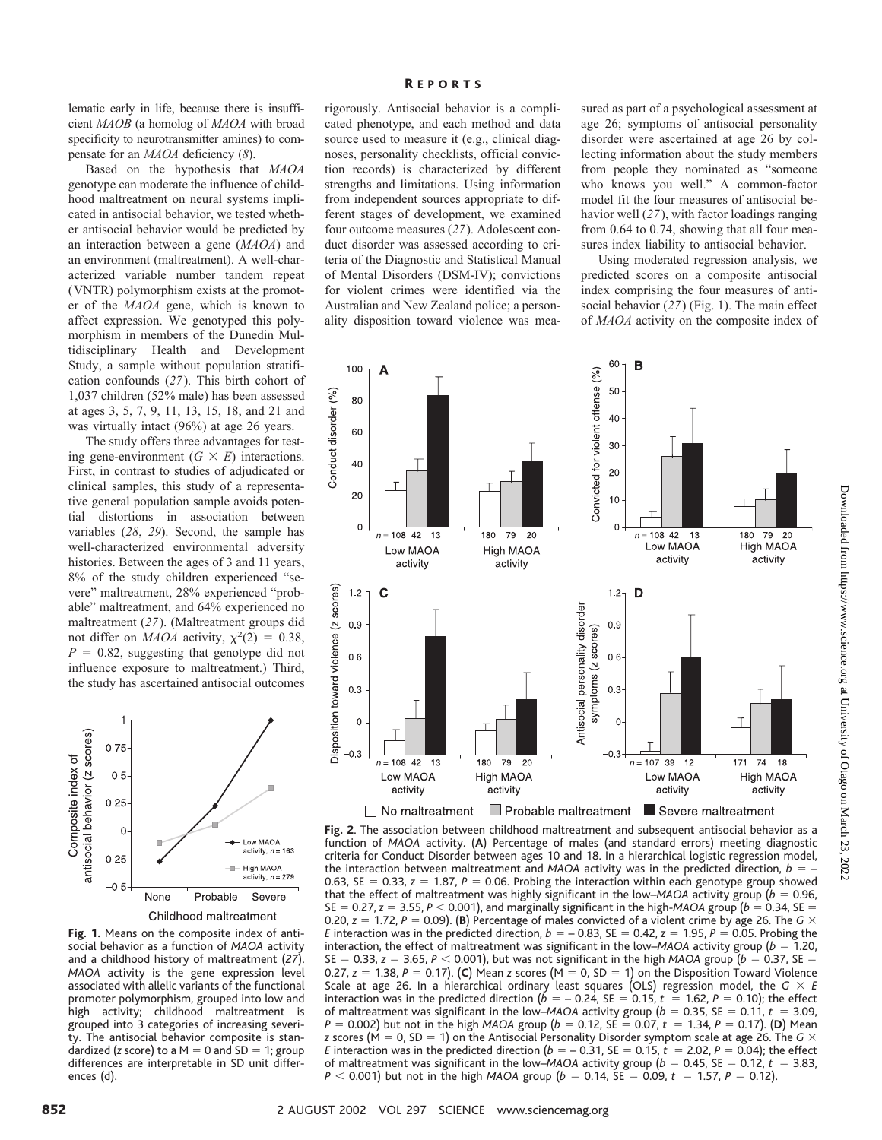lematic early in life, because there is insufficient *MAOB* (a homolog of *MAOA* with broad specificity to neurotransmitter amines) to compensate for an *MAOA* deficiency (*8*).

Based on the hypothesis that *MAOA* genotype can moderate the influence of childhood maltreatment on neural systems implicated in antisocial behavior, we tested whether antisocial behavior would be predicted by an interaction between a gene (*MAOA*) and an environment (maltreatment). A well-characterized variable number tandem repeat (VNTR) polymorphism exists at the promoter of the *MAOA* gene, which is known to affect expression. We genotyped this polymorphism in members of the Dunedin Multidisciplinary Health and Development Study, a sample without population stratification confounds (*27*). This birth cohort of 1,037 children (52% male) has been assessed at ages 3, 5, 7, 9, 11, 13, 15, 18, and 21 and was virtually intact (96%) at age 26 years.

The study offers three advantages for testing gene-environment  $(G \times E)$  interactions. First, in contrast to studies of adjudicated or clinical samples, this study of a representative general population sample avoids potential distortions in association between variables (*28*, *29*). Second, the sample has well-characterized environmental adversity histories. Between the ages of 3 and 11 years, 8% of the study children experienced "severe" maltreatment, 28% experienced "probable" maltreatment, and 64% experienced no maltreatment (*27*). (Maltreatment groups did not differ on *MAOA* activity,  $\chi^2(2) = 0.38$ ,  $P = 0.82$ , suggesting that genotype did not influence exposure to maltreatment.) Third, the study has ascertained antisocial outcomes



**Fig. 1.** Means on the composite index of antisocial behavior as a function of *MAOA* activity and a childhood history of maltreatment (*27*). *MAOA* activity is the gene expression level associated with allelic variants of the functional promoter polymorphism, grouped into low and high activity; childhood maltreatment is grouped into 3 categories of increasing severity. The antisocial behavior composite is standardized (*z* score) to a  $M = 0$  and  $SD = 1$ ; group differences are interpretable in SD unit differences (d).

rigorously. Antisocial behavior is a complicated phenotype, and each method and data source used to measure it (e.g., clinical diagnoses, personality checklists, official conviction records) is characterized by different strengths and limitations. Using information from independent sources appropriate to different stages of development, we examined four outcome measures (*27*). Adolescent conduct disorder was assessed according to criteria of the Diagnostic and Statistical Manual of Mental Disorders (DSM-IV); convictions for violent crimes were identified via the Australian and New Zealand police; a personality disposition toward violence was mea-

sured as part of a psychological assessment at age 26; symptoms of antisocial personality disorder were ascertained at age 26 by collecting information about the study members from people they nominated as "someone who knows you well." A common-factor model fit the four measures of antisocial behavior well (*27*), with factor loadings ranging from 0.64 to 0.74, showing that all four measures index liability to antisocial behavior.

Using moderated regression analysis, we predicted scores on a composite antisocial index comprising the four measures of antisocial behavior (*27*) (Fig. 1). The main effect of *MAOA* activity on the composite index of



**Fig. 2**. The association between childhood maltreatment and subsequent antisocial behavior as a function of *MAOA* activity. (**A**) Percentage of males (and standard errors) meeting diagnostic criteria for Conduct Disorder between ages 10 and 18. In a hierarchical logistic regression model, the interaction between maltreatment and *MAOA* activity was in the predicted direction,  $b = -$ 0.63, SE = 0.33,  $z = 1.87$ ,  $P = 0.06$ . Probing the interaction within each genotype group showed that the effect of maltreatment was highly significant in the low–*MAOA* activity group ( $b = 0.96$ , SE = 0.27,  $z = 3.55$ ,  $P < 0.001$ ), and marginally significant in the high-*MAOA* group ( $b = 0.34$ , SE = 0.20,  $z = 1.72$ ,  $P = 0.09$ . (**B**) Percentage of males convicted of a violent crime by age 26. The *G*  $\times$ *E* interaction was in the predicted direction,  $b = -0.83$ , SE = 0.42,  $z = 1.95$ ,  $P = 0.05$ . Probing the interaction, the effect of maltreatment was significant in the low–*MAOA* activity group ( $b = 1.20$ , SE  $= 0.33$ ,  $z = 3.65$ ,  $P < 0.001$ ), but was not significant in the high *MAOA* group ( $b = 0.37$ , SE  $=$ 0.27,  $z = 1.38$ ,  $P = 0.17$ ). (C) Mean *z* scores (M = 0, SD = 1) on the Disposition Toward Violence Scale at age 26. In a hierarchical ordinary least squares (OLS) regression model, the *G E* interaction was in the predicted direction ( $b = -0.24$ , SE = 0.15,  $t = 1.62$ ,  $P = 0.10$ ); the effect of maltreatment was significant in the low–MAOA activity group ( $b = 0.35$ , SE  $= 0.11$ ,  $t = 3.09$ ,  $P = 0.002$ ) but not in the high *MAOA* group ( $b = 0.12$ , SE  $= 0.07, \, t = 1.34, \, P = 0.17$ ). (**D**) Mean *z* scores (M = 0, SD = 1) on the Antisocial Personality Disorder symptom scale at age 26. The *G*  $\times$ *E* interaction was in the predicted direction ( $b = -0.31$ , SE = 0.15,  $t = 2.02$ ,  $P = 0.04$ ); the effect of maltreatment was significant in the low–*MAOA* activity group ( $b = 0.45$ , SE = 0.12,  $t = 3.83$ ,  $P < 0.001$ ) but not in the high *MAOA* group ( $b = 0.14$ ,  $SE = 0.09$ ,  $t = 1.57$ ,  $P = 0.12$ ).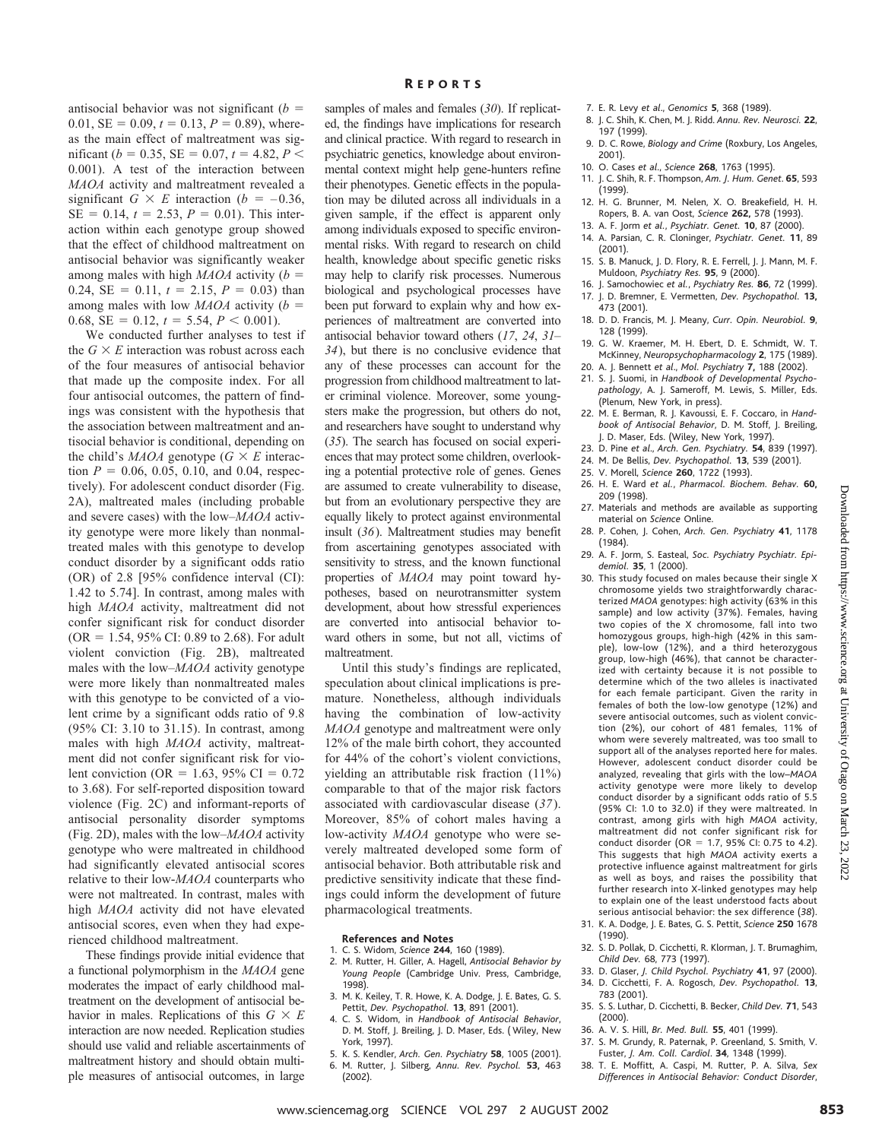antisocial behavior was not significant (*b* 0.01,  $SE = 0.09$ ,  $t = 0.13$ ,  $P = 0.89$ ), whereas the main effect of maltreatment was significant ( $b = 0.35$ , SE = 0.07,  $t = 4.82$ ,  $P \le$ 0.001). A test of the interaction between *MAOA* activity and maltreatment revealed a significant  $G \times E$  interaction ( $b = -0.36$ ,  $SE = 0.14$ ,  $t = 2.53$ ,  $P = 0.01$ ). This interaction within each genotype group showed that the effect of childhood maltreatment on antisocial behavior was significantly weaker among males with high *MAOA* activity (*b* 0.24,  $SE = 0.11$ ,  $t = 2.15$ ,  $P = 0.03$ ) than among males with low *MAOA* activity (*b* 0.68,  $SE = 0.12$ ,  $t = 5.54$ ,  $P < 0.001$ ).

We conducted further analyses to test if the  $G \times E$  interaction was robust across each of the four measures of antisocial behavior that made up the composite index. For all four antisocial outcomes, the pattern of findings was consistent with the hypothesis that the association between maltreatment and antisocial behavior is conditional, depending on the child's *MAOA* genotype ( $G \times E$  interaction  $P = 0.06, 0.05, 0.10,$  and 0.04, respectively). For adolescent conduct disorder (Fig. 2A), maltreated males (including probable and severe cases) with the low–*MAOA* activity genotype were more likely than nonmaltreated males with this genotype to develop conduct disorder by a significant odds ratio (OR) of 2.8 [95% confidence interval (CI): 1.42 to 5.74]. In contrast, among males with high *MAOA* activity, maltreatment did not confer significant risk for conduct disorder  $(OR = 1.54, 95\% \text{ CI: } 0.89 \text{ to } 2.68)$ . For adult violent conviction (Fig. 2B), maltreated males with the low–*MAOA* activity genotype were more likely than nonmaltreated males with this genotype to be convicted of a violent crime by a significant odds ratio of 9.8 (95% CI: 3.10 to 31.15). In contrast, among males with high *MAOA* activity, maltreatment did not confer significant risk for violent conviction (OR =  $1.63$ , 95% CI = 0.72 to 3.68). For self-reported disposition toward violence (Fig. 2C) and informant-reports of antisocial personality disorder symptoms (Fig. 2D), males with the low–*MAOA* activity genotype who were maltreated in childhood had significantly elevated antisocial scores relative to their low-*MAOA* counterparts who were not maltreated. In contrast, males with high *MAOA* activity did not have elevated antisocial scores, even when they had experienced childhood maltreatment.

These findings provide initial evidence that a functional polymorphism in the *MAOA* gene moderates the impact of early childhood maltreatment on the development of antisocial behavior in males. Replications of this  $G \times E$ interaction are now needed. Replication studies should use valid and reliable ascertainments of maltreatment history and should obtain multiple measures of antisocial outcomes, in large

#### R EPORTS

samples of males and females (*30*). If replicated, the findings have implications for research and clinical practice. With regard to research in psychiatric genetics, knowledge about environmental context might help gene-hunters refine their phenotypes. Genetic effects in the population may be diluted across all individuals in a given sample, if the effect is apparent only among individuals exposed to specific environmental risks. With regard to research on child health, knowledge about specific genetic risks may help to clarify risk processes. Numerous biological and psychological processes have been put forward to explain why and how experiences of maltreatment are converted into antisocial behavior toward others (*17*, *24*, *31*– *34*), but there is no conclusive evidence that any of these processes can account for the progression from childhood maltreatment to later criminal violence. Moreover, some youngsters make the progression, but others do not, and researchers have sought to understand why (*35*). The search has focused on social experiences that may protect some children, overlooking a potential protective role of genes. Genes are assumed to create vulnerability to disease, but from an evolutionary perspective they are equally likely to protect against environmental insult (*36*). Maltreatment studies may benefit from ascertaining genotypes associated with sensitivity to stress, and the known functional properties of *MAOA* may point toward hypotheses, based on neurotransmitter system development, about how stressful experiences are converted into antisocial behavior toward others in some, but not all, victims of maltreatment.

Until this study's findings are replicated, speculation about clinical implications is premature. Nonetheless, although individuals having the combination of low-activity *MAOA* genotype and maltreatment were only 12% of the male birth cohort, they accounted for 44% of the cohort's violent convictions, yielding an attributable risk fraction (11%) comparable to that of the major risk factors associated with cardiovascular disease (*37*). Moreover, 85% of cohort males having a low-activity *MAOA* genotype who were severely maltreated developed some form of antisocial behavior. Both attributable risk and predictive sensitivity indicate that these findings could inform the development of future pharmacological treatments.

#### **References and Notes**

- 1. C. S. Widom, *Science* **244**, 160 (1989).
- 2. M. Rutter, H. Giller, A. Hagell, *Antisocial Behavior by Young People* (Cambridge Univ. Press, Cambridge, 1998).
- 3. M. K. Keiley, T. R. Howe, K. A. Dodge, J. E. Bates, G. S. Pettit, *Dev. Psychopathol.* **13**, 891 (2001).
- 4. C. S. Widom, in *Handbook of Antisocial Behavior*, D. M. Stoff, J. Breiling, J. D. Maser, Eds. ( Wiley, New York, 1997).
- 5. K. S. Kendler, *Arch. Gen. Psychiatry* **58**, 1005 (2001). 6. M. Rutter, J. Silberg, *Annu. Rev. Psychol.* **53,** 463
- (2002).
- 7. E. R. Levy *et al*., *Genomics* **5**, 368 (1989).
- 8. J. C. Shih, K. Chen, M. J. Ridd. *Annu. Rev. Neurosci.* **22**, 197 (1999).
- 9. D. C. Rowe, *Biology and Crime* (Roxbury, Los Angeles, 2001).
- 10. O. Cases *et al*., *Science* **268**, 1763 (1995).
- 11. J. C. Shih, R. F. Thompson, *Am. J. Hum. Genet*. **65**, 593 (1999).
- 12. H. G. Brunner, M. Nelen, X. O. Breakefield, H. H. Ropers, B. A. van Oost, *Science* **262,** 578 (1993).
- 13. A. F. Jorm *et al.*, *Psychiatr. Genet.* **10**, 87 (2000). 14. A. Parsian, C. R. Cloninger, *Psychiatr. Genet.* **11**, 89 (2001).
- 15. S. B. Manuck, J. D. Flory, R. E. Ferrell, J. J. Mann, M. F. Muldoon, *Psychiatry Res.* **95**, 9 (2000).
- 16. J. Samochowiec *et al.*, *Psychiatry Res.* **86**, 72 (1999). 17. J. D. Bremner, E. Vermetten, *Dev. Psychopathol.* **13,**
- .<br>473 (2001). 18. D. D. Francis, M. J. Meany, *Curr. Opin. Neurobiol.* **9**,
- 128 (1999).
- 19. G. W. Kraemer, M. H. Ebert, D. E. Schmidt, W. T. McKinney, *Neuropsychopharmacology* **2**, 175 (1989).
- 20. A. J. Bennett *et al*., *Mol. Psychiatry* **7,** 188 (2002).
- 21. S. J. Suomi, in *Handbook of Developmental Psychopathology*, A. J. Sameroff, M. Lewis, S. Miller, Eds. (Plenum, New York, in press).
- 22. M. E. Berman, R. J. Kavoussi, E. F. Coccaro, in *Handbook of Antisocial Behavior*, D. M. Stoff, J. Breiling, J. D. Maser, Eds. (Wiley, New York, 1997).
- 23. D. Pine *et al*., *Arch. Gen. Psychiatry.* **54**, 839 (1997).
- 24. M. De Bellis, *Dev. Psychopathol.* **13**, 539 (2001).
- 25. V. Morell, *Science* **260**, 1722 (1993).
- 26. H. E. Ward *et al.*, *Pharmacol. Biochem. Behav.* **60,** 209 (1998).
- 27. Materials and methods are available as supporting material on *Science* Online.
- 28. P. Cohen, J. Cohen, *Arch. Gen. Psychiatry* **41**, 1178 (1984).
- 29. A. F. Jorm, S. Easteal, *Soc. Psychiatry Psychiatr. Epidemiol.* **35**, 1 (2000).
- 30. This study focused on males because their single X chromosome yields two straightforwardly characterized *MAOA* genotypes: high activity (63% in this sample) and low activity (37%). Females, having two copies of the X chromosome, fall into two homozygous groups, high-high (42% in this sample), low-low (12%), and a third heterozygous group, low-high (46%), that cannot be characterized with certainty because it is not possible to determine which of the two alleles is inactivated for each female participant. Given the rarity in females of both the low-low genotype (12%) and severe antisocial outcomes, such as violent conviction (2%), our cohort of 481 females, 11% of whom were severely maltreated, was too small to support all of the analyses reported here for males. However, adolescent conduct disorder could be analyzed, revealing that girls with the low–*MAOA* activity genotype were more likely to develop conduct disorder by a significant odds ratio of 5.5 (95% CI: 1.0 to 32.0) if they were maltreated. In contrast, among girls with high *MAOA* activity, maltreatment did not confer significant risk for conduct disorder (OR = 1.7, 95% CI: 0.75 to 4.2). This suggests that high *MAOA* activity exerts a protective influence against maltreatment for girls as well as boys, and raises the possibility that further research into X-linked genotypes may help to explain one of the least understood facts about serious antisocial behavior: the sex difference (*38*). (Fig. are desired to create volume of the color of the color of the create in the second from the second from the second from the second from the second from the second from the second from the second from the second from
	- 31. K. A. Dodge, J. E. Bates, G. S. Pettit, *Science* **250** 1678 (1990).
	- 32. S. D. Pollak, D. Cicchetti, R. Klorman, J. T. Brumaghim, *Child Dev.* 68, 773 (1997).
	- 33. D. Glaser, *J. Child Psychol. Psychiatry* **41**, 97 (2000). 34. D. Cicchetti, F. A. Rogosch, *Dev. Psychopathol.* **13**, 783 (2001).
	- 35. S. S. Luthar, D. Cicchetti, B. Becker, *Child Dev.* **71**, 543 (2000).
	- 36. A. V. S. Hill, *Br. Med. Bull.* **55**, 401 (1999).
	- 37. S. M. Grundy, R. Paternak, P. Greenland, S. Smith, V. Fuster, *J. Am. Coll. Cardiol*. **34**, 1348 (1999).
	- 38. T. E. Moffitt, A. Caspi, M. Rutter, P. A. Silva, *Sex Differences in Antisocial Behavior: Conduct Disorder*,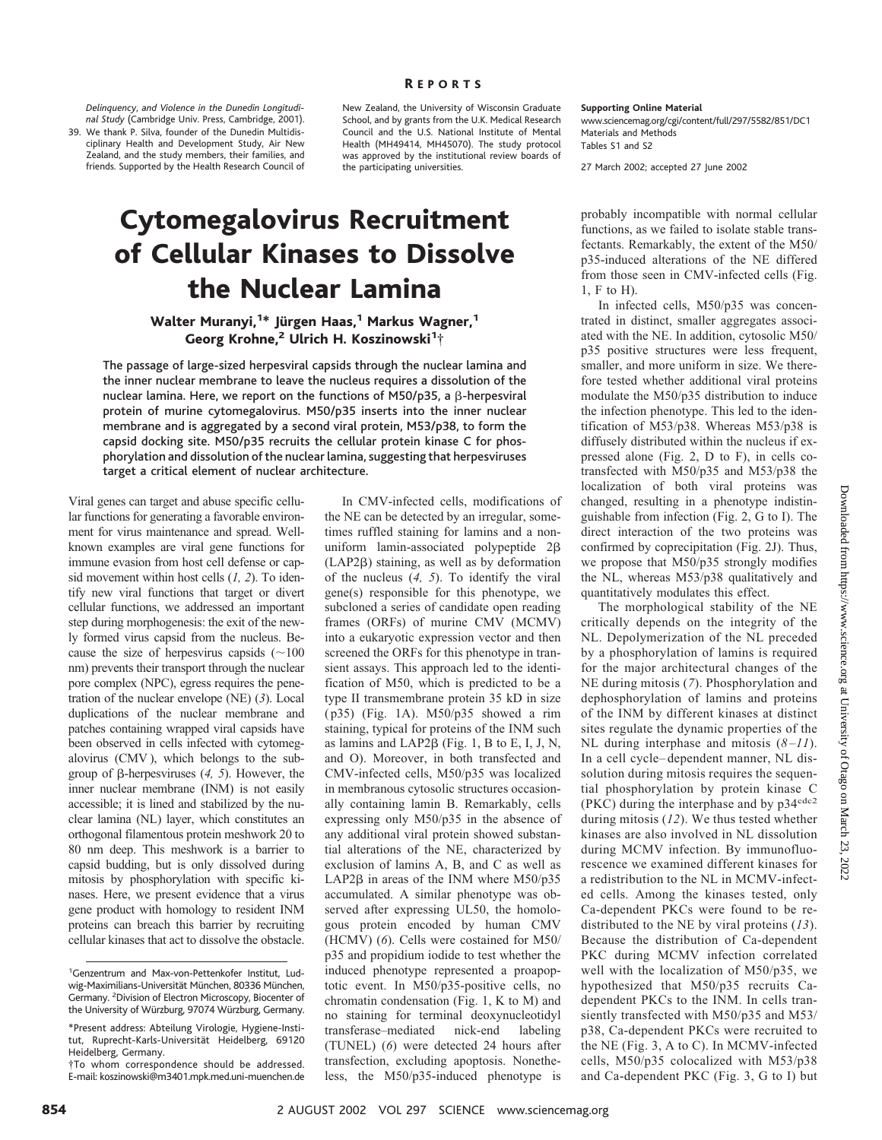*Delinquency*, *and Violence in the Dunedin Longitudinal Study* (Cambridge Univ. Press, Cambridge, 2001). 39. We thank P. Silva, founder of the Dunedin Multidisciplinary Health and Development Study, Air New Zealand, and the study members, their families, and friends. Supported by the Health Research Council of New Zealand, the University of Wisconsin Graduate School, and by grants from the U.K. Medical Research Council and the U.S. National Institute of Mental Health (MH49414, MH45070). The study protocol was approved by the institutional review boards of the participating universities.

## Cytomegalovirus Recruitment of Cellular Kinases to Dissolve the Nuclear Lamina

## Walter Muranyi,<sup>1\*</sup> Jürgen Haas,<sup>1</sup> Markus Wagner,<sup>1</sup> Georg Krohne,<sup>2</sup> Ulrich H. Koszinowski<sup>1</sup>†

The passage of large-sized herpesviral capsids through the nuclear lamina and the inner nuclear membrane to leave the nucleus requires a dissolution of the nuclear lamina. Here, we report on the functions of M50/p35, a  $\beta$ -herpesviral protein of murine cytomegalovirus. M50/p35 inserts into the inner nuclear membrane and is aggregated by a second viral protein, M53/p38, to form the capsid docking site. M50/p35 recruits the cellular protein kinase C for phosphorylation and dissolution of the nuclear lamina, suggesting that herpesviruses target a critical element of nuclear architecture.

Viral genes can target and abuse specific cellular functions for generating a favorable environment for virus maintenance and spread. Wellknown examples are viral gene functions for immune evasion from host cell defense or capsid movement within host cells (*1, 2*). To identify new viral functions that target or divert cellular functions, we addressed an important step during morphogenesis: the exit of the newly formed virus capsid from the nucleus. Because the size of herpesvirus capsids  $($  ~100 nm) prevents their transport through the nuclear pore complex (NPC), egress requires the penetration of the nuclear envelope (NE) (*3*). Local duplications of the nuclear membrane and patches containing wrapped viral capsids have been observed in cells infected with cytomegalovirus (CMV ), which belongs to the subgroup of  $\beta$ -herpesviruses (4, 5). However, the inner nuclear membrane (INM) is not easily accessible; it is lined and stabilized by the nuclear lamina (NL) layer, which constitutes an orthogonal filamentous protein meshwork 20 to 80 nm deep. This meshwork is a barrier to capsid budding, but is only dissolved during mitosis by phosphorylation with specific kinases. Here, we present evidence that a virus gene product with homology to resident INM proteins can breach this barrier by recruiting cellular kinases that act to dissolve the obstacle.

In CMV-infected cells, modifications of the NE can be detected by an irregular, sometimes ruffled staining for lamins and a nonuniform lamin-associated polypeptide 2 $\beta$  $(LAP2\beta)$  staining, as well as by deformation of the nucleus (*4, 5*). To identify the viral gene(s) responsible for this phenotype, we subcloned a series of candidate open reading frames (ORFs) of murine CMV (MCMV) into a eukaryotic expression vector and then screened the ORFs for this phenotype in transient assays. This approach led to the identification of M50, which is predicted to be a type II transmembrane protein 35 kD in size (p35) (Fig. 1A). M50/p35 showed a rim staining, typical for proteins of the INM such as lamins and  $LAP2\beta$  (Fig. 1, B to E, I, J, N, and O). Moreover, in both transfected and CMV-infected cells, M50/p35 was localized in membranous cytosolic structures occasionally containing lamin B. Remarkably, cells expressing only M50/p35 in the absence of any additional viral protein showed substantial alterations of the NE, characterized by exclusion of lamins A, B, and C as well as LAP2 $\beta$  in areas of the INM where M50/p35 accumulated. A similar phenotype was observed after expressing UL50, the homologous protein encoded by human CMV (HCMV) (*6*). Cells were costained for M50/ p35 and propidium iodide to test whether the induced phenotype represented a proapoptotic event. In M50/p35-positive cells, no chromatin condensation (Fig. 1, K to M) and no staining for terminal deoxynucleotidyl transferase–mediated nick-end labeling (TUNEL) (*6*) were detected 24 hours after transfection, excluding apoptosis. Nonetheless, the M50/p35-induced phenotype is

#### **Supporting Online Material**

www.sciencemag.org/cgi/content/full/297/5582/851/DC1 Materials and Methods Tables S1 and S2

27 March 2002; accepted 27 June 2002

probably incompatible with normal cellular functions, as we failed to isolate stable transfectants. Remarkably, the extent of the M50/ p35-induced alterations of the NE differed from those seen in CMV-infected cells (Fig. 1, F to H).

In infected cells, M50/p35 was concentrated in distinct, smaller aggregates associated with the NE. In addition, cytosolic M50/ p35 positive structures were less frequent, smaller, and more uniform in size. We therefore tested whether additional viral proteins modulate the M50/p35 distribution to induce the infection phenotype. This led to the identification of M53/p38. Whereas M53/p38 is diffusely distributed within the nucleus if expressed alone (Fig. 2, D to F), in cells cotransfected with M50/p35 and M53/p38 the localization of both viral proteins was changed, resulting in a phenotype indistinguishable from infection (Fig. 2, G to I). The direct interaction of the two proteins was confirmed by coprecipitation (Fig. 2J). Thus, we propose that M50/p35 strongly modifies the NL, whereas M53/p38 qualitatively and quantitatively modulates this effect.

The morphological stability of the NE critically depends on the integrity of the NL. Depolymerization of the NL preceded by a phosphorylation of lamins is required for the major architectural changes of the NE during mitosis (*7*). Phosphorylation and dephosphorylation of lamins and proteins of the INM by different kinases at distinct sites regulate the dynamic properties of the NL during interphase and mitosis (*8–11*). In a cell cycle– dependent manner, NL dissolution during mitosis requires the sequential phosphorylation by protein kinase C (PKC) during the interphase and by  $p34^{cdc2}$ during mitosis (*12*). We thus tested whether kinases are also involved in NL dissolution during MCMV infection. By immunofluorescence we examined different kinases for a redistribution to the NL in MCMV-infected cells. Among the kinases tested, only Ca-dependent PKCs were found to be redistributed to the NE by viral proteins (*13*). Because the distribution of Ca-dependent PKC during MCMV infection correlated well with the localization of M50/p35, we hypothesized that M50/p35 recruits Cadependent PKCs to the INM. In cells transiently transfected with M50/p35 and M53/ p38, Ca-dependent PKCs were recruited to the NE (Fig. 3, A to C). In MCMV-infected cells, M50/p35 colocalized with M53/p38 and Ca-dependent PKC (Fig. 3, G to I) but

<sup>1</sup> Genzentrum and Max-von-Pettenkofer Institut, Ludwig-Maximilians-Universität München, 80336 München, Germany. <sup>2</sup> Division of Electron Microscopy, Biocenter of the University of Würzburg, 97074 Würzburg, Germany.

<sup>\*</sup>Present address: Abteilung Virologie, Hygiene-Institut, Ruprecht-Karls-Universität Heidelberg, 69120 Heidelberg, Germany.

<sup>†</sup>To whom correspondence should be addressed. E-mail: koszinowski@m3401.mpk.med.uni-muenchen.de